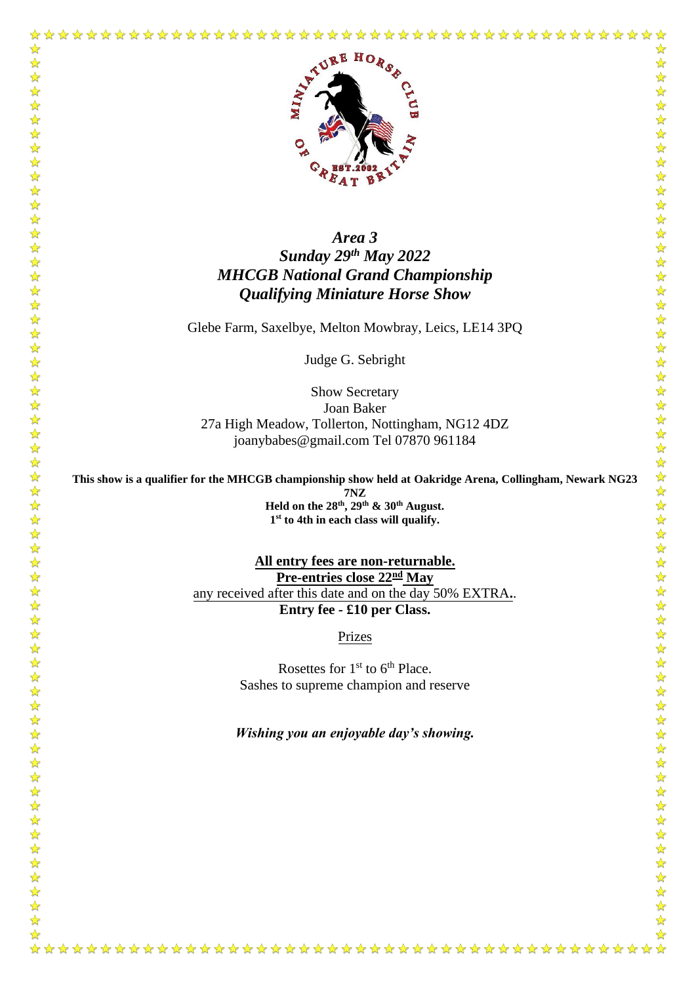

学科

 $\frac{1}{\sqrt{2}}$ 

## *Area 3 Sunday 29th May 2022 MHCGB National Grand Championship Qualifying Miniature Horse Show*

Glebe Farm, Saxelbye, Melton Mowbray, Leics, LE14 3PQ

Judge G. Sebright

Show Secretary Joan Baker 27a High Meadow, Tollerton, Nottingham, NG12 4DZ joanybabes@gmail.com Tel 07870 961184

**This show is a qualifier for the MHCGB championship show held at Oakridge Arena, Collingham, Newark NG23 7NZ Held on the 28th , 29th & 30th August. 1 st to 4th in each class will qualify.** 

> **All entry fees are non-returnable. Pre-entries close 22nd May** any received after this date and on the day 50% EXTRA**.**. **Entry fee - £10 per Class.**

> > Prizes

Rosettes for  $1<sup>st</sup>$  to  $6<sup>th</sup>$  Place. Sashes to supreme champion and reserve

*Wishing you an enjoyable day's showing.*

 $\bigstar$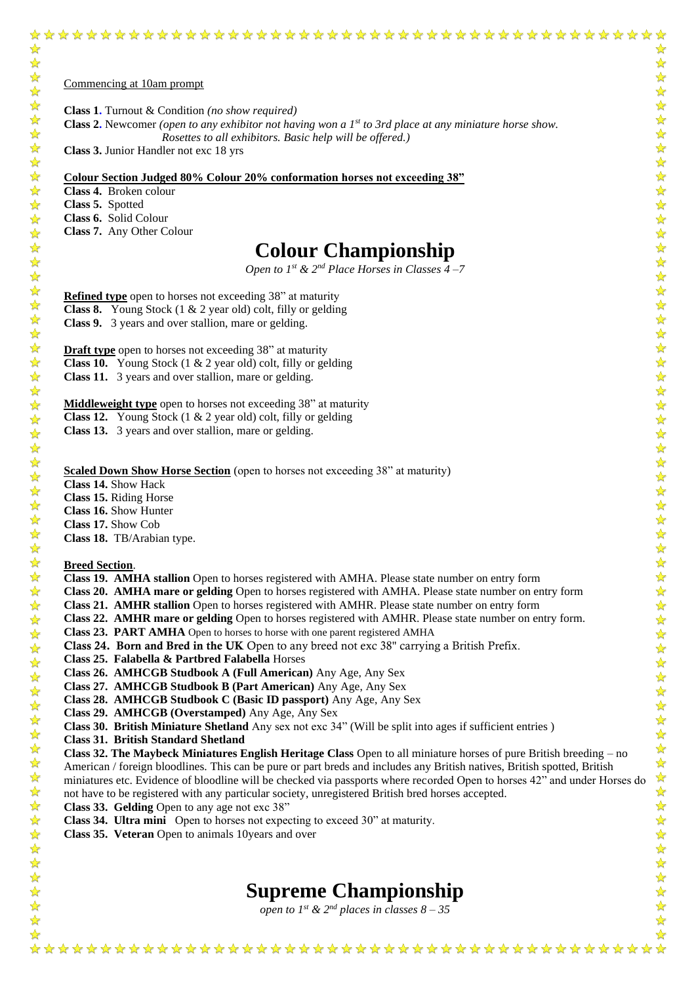#### Commencing at 10am prompt

**Class 1.** Turnout & Condition *(no show required)*

**Class 2.** Newcomer *(open to any exhibitor not having won a 1st to 3rd place at any miniature horse show.*  *Rosettes to all exhibitors. Basic help will be offered.)*

**Class 3.** Junior Handler not exc 18 yrs

**Colour Section Judged 80% Colour 20% conformation horses not exceeding 38"**

**Class 4.** Broken colour

**Class 5.** Spotted

**Class 6.** Solid Colour

**Class 7.** Any Other Colour

# **Colour Championship**

*Open to 1<sup>st</sup> & 2<sup>nd</sup> Place Horses in Classes*  $\overline{4}$  –7

**Refined type** open to horses not exceeding 38" at maturity

**Class 8.** Young Stock (1 & 2 year old) colt, filly or gelding

**Class 9.** 3 years and over stallion, mare or gelding.

**Draft type** open to horses not exceeding 38" at maturity

**Class 10.** Young Stock (1 & 2 year old) colt, filly or gelding

**Class 11.** 3 years and over stallion, mare or gelding.

**Middleweight type** open to horses not exceeding 38" at maturity

**Class 12.** Young Stock (1 & 2 year old) colt, filly or gelding

**Class 13.** 3 years and over stallion, mare or gelding.

**Scaled Down Show Horse Section** (open to horses not exceeding 38" at maturity)

**Class 14.** Show Hack

**Class 15.** Riding Horse

**Class 16.** Show Hunter

**Class 17.** Show Cob

**Class 18.** TB/Arabian type.

#### **Breed Section**.

- **Class 19. AMHA stallion** Open to horses registered with AMHA. Please state number on entry form
- **Class 20. AMHA mare or gelding** Open to horses registered with AMHA. Please state number on entry form
- **Class 21. AMHR stallion** Open to horses registered with AMHR. Please state number on entry form
- **Class 22. AMHR mare or gelding** Open to horses registered with AMHR. Please state number on entry form.
- **Class 23. PART AMHA** Open to horses to horse with one parent registered AMHA
- Class 24. Born and Bred in the UK Open to any breed not exc 38" carrying a British Prefix.
- **Class 25. Falabella & Partbred Falabella** Horses
- **Class 26. AMHCGB Studbook A (Full American)** Any Age, Any Sex
- **Class 27. AMHCGB Studbook B (Part American)** Any Age, Any Sex
- **Class 28. AMHCGB Studbook C (Basic ID passport)** Any Age, Any Sex
- **Class 29. AMHCGB (Overstamped)** Any Age, Any Sex
- **Class 30. British Miniature Shetland** Any sex not exc 34" (Will be split into ages if sufficient entries )
- **Class 31. British Standard Shetland**

**Class 32. The Maybeck Miniatures English Heritage Class** Open to all miniature horses of pure British breeding – no American / foreign bloodlines. This can be pure or part breds and includes any British natives, British spotted, British miniatures etc. Evidence of bloodline will be checked via passports where recorded Open to horses 42" and under Horses do not have to be registered with any particular society, unregistered British bred horses accepted.

- **Class 33. Gelding** Open to any age not exc 38"
- **Class 34. Ultra mini** Open to horses not expecting to exceed 30" at maturity.
- **Class 35. Veteran** Open to animals 10years and over

# **Supreme Championship**

*open to 1<sup>st</sup>* & 2<sup>*nd*</sup> *places in classes*  $8 - 35$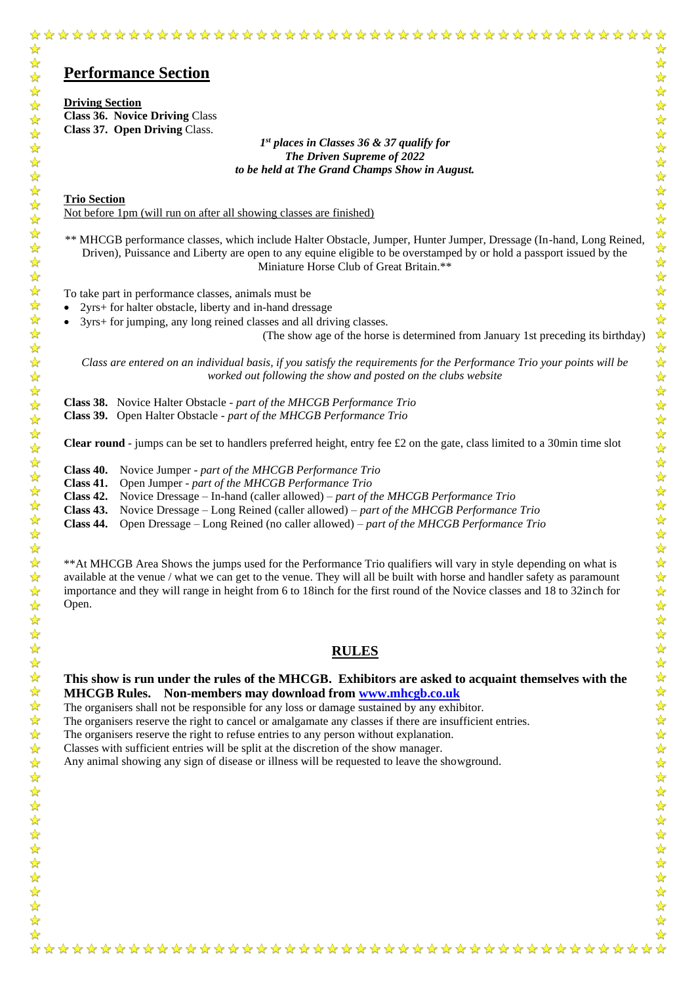# **Performance Section**

**Driving Section Class 36. Novice Driving** Class **Class 37. Open Driving** Class.

> *1 st places in Classes 36 & 37 qualify for The Driven Supreme of 2022 to be held at The Grand Champs Show in August.*

**Trio Section** Not before 1pm (will run on after all showing classes are finished)

\*\* MHCGB performance classes, which include Halter Obstacle, Jumper, Hunter Jumper, Dressage (In-hand, Long Reined, Driven), Puissance and Liberty are open to any equine eligible to be overstamped by or hold a passport issued by the Miniature Horse Club of Great Britain.\*\*

To take part in performance classes, animals must be

• 2yrs+ for halter obstacle, liberty and in-hand dressage

• 3yrs+ for jumping, any long reined classes and all driving classes.

(The show age of the horse is determined from January 1st preceding its birthday)

*Class are entered on an individual basis, if you satisfy the requirements for the Performance Trio your points will be worked out following the show and posted on the clubs website*

**Class 38.** Novice Halter Obstacle - *part of the MHCGB Performance Trio* 

**Class 39.** Open Halter Obstacle - *part of the MHCGB Performance Trio*

**Clear round** - jumps can be set to handlers preferred height, entry fee  $\pounds 2$  on the gate, class limited to a 30min time slot

**Class 40.** Novice Jumper - *part of the MHCGB Performance Trio*

**Class 41.** Open Jumper - *part of the MHCGB Performance Trio*

**Class 42.** Novice Dressage – In-hand (caller allowed) – *part of the MHCGB Performance Trio* 

**Class 43.** Novice Dressage – Long Reined (caller allowed) – *part of the MHCGB Performance Trio* 

**Class 44.** Open Dressage – Long Reined (no caller allowed) – *part of the MHCGB Performance Trio*

\*\*At MHCGB Area Shows the jumps used for the Performance Trio qualifiers will vary in style depending on what is available at the venue / what we can get to the venue. They will all be built with horse and handler safety as paramount importance and they will range in height from 6 to 18inch for the first round of the Novice classes and 18 to 32inch for Open.

#### **RULES**

**This show is run under the rules of the MHCGB. Exhibitors are asked to acquaint themselves with the MHCGB Rules. Non-members may download from [www.mhcgb.co.uk](http://www.mhcgb.co.uk/)**

The organisers shall not be responsible for any loss or damage sustained by any exhibitor.

The organisers reserve the right to cancel or amalgamate any classes if there are insufficient entries.

The organisers reserve the right to refuse entries to any person without explanation.

Classes with sufficient entries will be split at the discretion of the show manager.

Any animal showing any sign of disease or illness will be requested to leave the showground.

琴琴: ☆

\*\*\*\*\*\*\*

55年  $\frac{1}{\sqrt{2}}$  $\frac{1}{\sqrt{2}}$  $\frac{1}{\sqrt{2}}$  $\frac{1}{\sqrt{2}}$